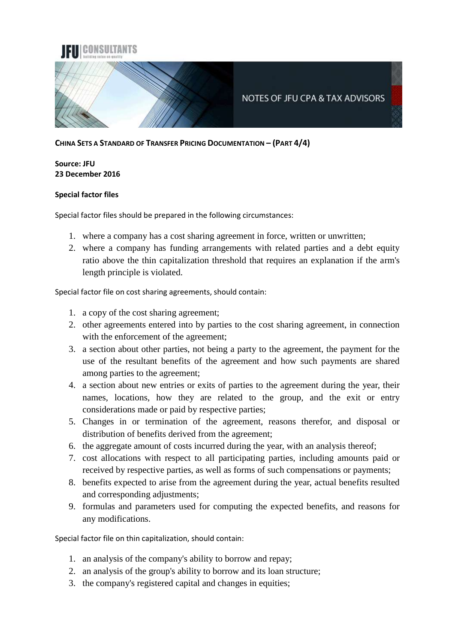

**CHINA SETS A STANDARD OF TRANSFER PRICING DOCUMENTATION – (PART 4/4)**

## **Source: JFU 23 December 2016**

## **Special factor files**

Special factor files should be prepared in the following circumstances:

- 1. where a company has a cost sharing agreement in force, written or unwritten;
- 2. where a company has funding arrangements with related parties and a debt equity ratio above the thin capitalization threshold that requires an explanation if the arm's length principle is violated.

Special factor file on cost sharing agreements, should contain:

- 1. a copy of the cost sharing agreement;
- 2. other agreements entered into by parties to the cost sharing agreement, in connection with the enforcement of the agreement;
- 3. a section about other parties, not being a party to the agreement, the payment for the use of the resultant benefits of the agreement and how such payments are shared among parties to the agreement;
- 4. a section about new entries or exits of parties to the agreement during the year, their names, locations, how they are related to the group, and the exit or entry considerations made or paid by respective parties;
- 5. Changes in or termination of the agreement, reasons therefor, and disposal or distribution of benefits derived from the agreement;
- 6. the aggregate amount of costs incurred during the year, with an analysis thereof;
- 7. cost allocations with respect to all participating parties, including amounts paid or received by respective parties, as well as forms of such compensations or payments;
- 8. benefits expected to arise from the agreement during the year, actual benefits resulted and corresponding adjustments;
- 9. formulas and parameters used for computing the expected benefits, and reasons for any modifications.

Special factor file on thin capitalization, should contain:

- 1. an analysis of the company's ability to borrow and repay;
- 2. an analysis of the group's ability to borrow and its loan structure;
- 3. the company's registered capital and changes in equities;